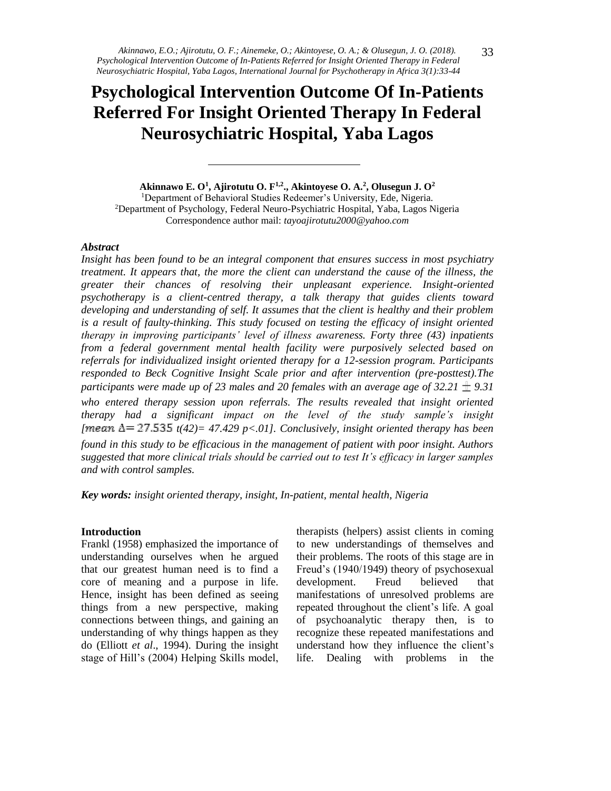# **Psychological Intervention Outcome Of In-Patients Referred For Insight Oriented Therapy In Federal Neurosychiatric Hospital, Yaba Lagos**

**Akinnawo E. O<sup>1</sup> , Ajirotutu O. F1,2., Akintoyese O. A.<sup>2</sup> , Olusegun J. O<sup>2</sup>**

<sup>1</sup>Department of Behavioral Studies Redeemer's University, Ede, Nigeria. <sup>2</sup>Department of Psychology, Federal Neuro-Psychiatric Hospital, Yaba, Lagos Nigeria Correspondence author mail: *tayoajirotutu2000@yahoo.com*

#### *Abstract*

*Insight has been found to be an integral component that ensures success in most psychiatry treatment. It appears that, the more the client can understand the cause of the illness, the greater their chances of resolving their unpleasant experience. Insight-oriented psychotherapy is a client-centred therapy, a talk therapy that guides clients toward developing and understanding of self. It assumes that the client is healthy and their problem is a result of faulty-thinking. This study focused on testing the efficacy of insight oriented therapy in improving participants' level of illness awareness. Forty three (43) inpatients from a federal government mental health facility were purposively selected based on referrals for individualized insight oriented therapy for a 12-session program. Participants responded to Beck Cognitive Insight Scale prior and after intervention (pre-posttest).The participants were made up of 23 males and 20 females with an average age of 32.21*  $\pm$  *9.31 who entered therapy session upon referrals. The results revealed that insight oriented therapy had a significant impact on the level of the study sample's insight [* $m$ ean  $\Delta$ = 27.535  $t(42)$ = 47.429 p<.01]. Conclusively, insight oriented therapy has been *found in this study to be efficacious in the management of patient with poor insight. Authors suggested that more clinical trials should be carried out to test It's efficacy in larger samples and with control samples.*

*Key words: insight oriented therapy, insight, In-patient, mental health, Nigeria*

#### **Introduction**

Frankl (1958) emphasized the importance of understanding ourselves when he argued that our greatest human need is to find a core of meaning and a purpose in life. Hence, insight has been defined as seeing things from a new perspective, making connections between things, and gaining an understanding of why things happen as they do (Elliott *et al*., 1994). During the insight stage of Hill's (2004) Helping Skills model,

therapists (helpers) assist clients in coming to new understandings of themselves and their problems. The roots of this stage are in Freud's (1940/1949) theory of psychosexual development. Freud believed that manifestations of unresolved problems are repeated throughout the client's life. A goal of psychoanalytic therapy then, is to recognize these repeated manifestations and understand how they influence the client's life. Dealing with problems in the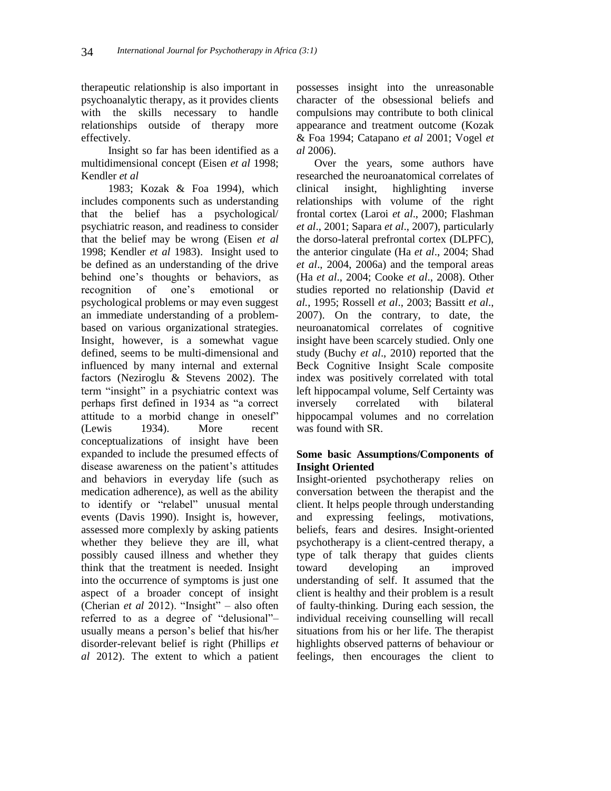therapeutic relationship is also important in psychoanalytic therapy, as it provides clients with the skills necessary to handle relationships outside of therapy more effectively.

Insight so far has been identified as a multidimensional concept (Eisen *et al* 1998; Kendler *et al*

1983; Kozak & Foa 1994), which includes components such as understanding that the belief has a psychological/ psychiatric reason, and readiness to consider that the belief may be wrong (Eisen *et al*  1998; Kendler *et al* 1983). Insight used to be defined as an understanding of the drive behind one's thoughts or behaviors, as recognition of one's emotional or psychological problems or may even suggest an immediate understanding of a problembased on various organizational strategies. Insight, however, is a somewhat vague defined, seems to be multi-dimensional and influenced by many internal and external factors (Neziroglu & Stevens 2002). The term "insight" in a psychiatric context was perhaps first defined in 1934 as "a correct attitude to a morbid change in oneself" (Lewis 1934). More recent conceptualizations of insight have been expanded to include the presumed effects of disease awareness on the patient's attitudes and behaviors in everyday life (such as medication adherence), as well as the ability to identify or "relabel" unusual mental events (Davis 1990). Insight is, however, assessed more complexly by asking patients whether they believe they are ill, what possibly caused illness and whether they think that the treatment is needed. Insight into the occurrence of symptoms is just one aspect of a broader concept of insight (Cherian *et al* 2012). "Insight" – also often referred to as a degree of "delusional"– usually means a person's belief that his/her disorder-relevant belief is right (Phillips *et al* 2012). The extent to which a patient

possesses insight into the unreasonable character of the obsessional beliefs and compulsions may contribute to both clinical appearance and treatment outcome (Kozak & Foa 1994; Catapano *et al* 2001; Vogel *et al* 2006).

Over the years, some authors have researched the neuroanatomical correlates of clinical insight, highlighting inverse relationships with volume of the right frontal cortex (Laroi *et al*., 2000; Flashman *et al*., 2001; Sapara *et al*., 2007), particularly the dorso-lateral prefrontal cortex (DLPFC), the anterior cingulate (Ha *et al*., 2004; Shad *et al*., 2004, 2006a) and the temporal areas (Ha *et al*., 2004; Cooke *et al*., 2008). Other studies reported no relationship (David *et al.*, 1995; Rossell *et al*., 2003; Bassitt *et al*., 2007). On the contrary, to date, the neuroanatomical correlates of cognitive insight have been scarcely studied. Only one study (Buchy *et al*., 2010) reported that the Beck Cognitive Insight Scale composite index was positively correlated with total left hippocampal volume, Self Certainty was inversely correlated with bilateral hippocampal volumes and no correlation was found with SR.

# **Some basic Assumptions/Components of Insight Oriented**

Insight-oriented psychotherapy relies on conversation between the therapist and the client. It helps people through understanding and expressing feelings, motivations, beliefs, fears and desires. Insight-oriented psychotherapy is a client-centred therapy, a type of talk therapy that guides clients toward developing an improved understanding of self. It assumed that the client is healthy and their problem is a result of faulty-thinking. During each session, the individual receiving counselling will recall situations from his or her life. The therapist highlights observed patterns of behaviour or feelings, then encourages the client to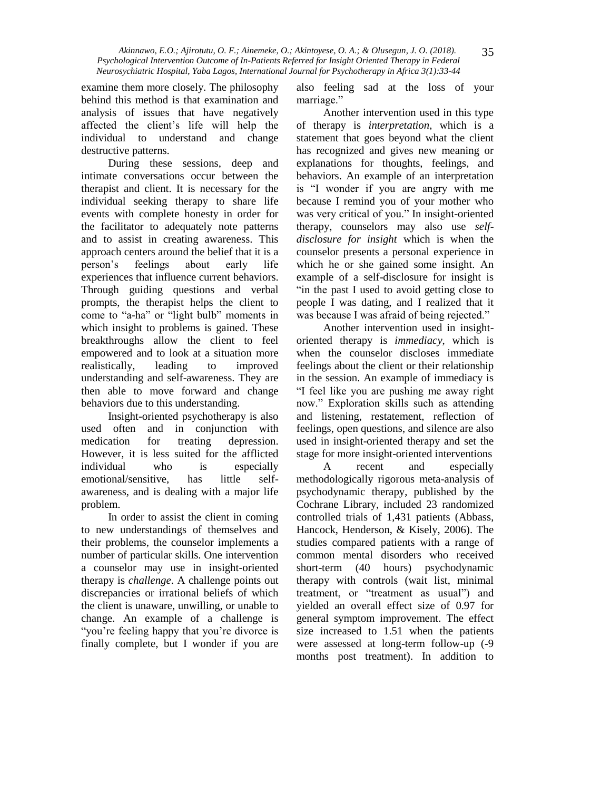examine them more closely. The philosophy behind this method is that examination and analysis of issues that have negatively affected the client's life will help the individual to understand and change destructive patterns.

During these sessions, deep and intimate conversations occur between the therapist and client. It is necessary for the individual seeking therapy to share life events with complete honesty in order for the facilitator to adequately note patterns and to assist in creating awareness. This approach centers around the belief that it is a person's feelings about early life experiences that influence current behaviors. Through guiding questions and verbal prompts, the therapist helps the client to come to "a-ha" or "light bulb" moments in which insight to problems is gained. These breakthroughs allow the client to feel empowered and to look at a situation more realistically, leading to improved understanding and self-awareness. They are then able to move forward and change behaviors due to this understanding.

Insight-oriented psychotherapy is also used often and in conjunction with medication for treating depression. However, it is less suited for the afflicted individual who is especially emotional/sensitive, has little selfawareness, and is dealing with a major life problem.

In order to assist the client in coming to new understandings of themselves and their problems, the counselor implements a number of particular skills. One intervention a counselor may use in insight-oriented therapy is *challenge*. A challenge points out discrepancies or irrational beliefs of which the client is unaware, unwilling, or unable to change. An example of a challenge is "you're feeling happy that you're divorce is finally complete, but I wonder if you are

also feeling sad at the loss of your marriage."

Another intervention used in this type of therapy is *interpretation*, which is a statement that goes beyond what the client has recognized and gives new meaning or explanations for thoughts, feelings, and behaviors. An example of an interpretation is "I wonder if you are angry with me because I remind you of your mother who was very critical of you." In insight-oriented therapy, counselors may also use *selfdisclosure for insight* which is when the counselor presents a personal experience in which he or she gained some insight. An example of a self-disclosure for insight is "in the past I used to avoid getting close to people I was dating, and I realized that it was because I was afraid of being rejected."

Another intervention used in insightoriented therapy is *immediacy*, which is when the counselor discloses immediate feelings about the client or their relationship in the session. An example of immediacy is "I feel like you are pushing me away right now." Exploration skills such as attending and listening, restatement, reflection of feelings, open questions, and silence are also used in insight-oriented therapy and set the stage for more insight-oriented interventions

A recent and especially methodologically rigorous meta-analysis of psychodynamic therapy, published by the Cochrane Library, included 23 randomized controlled trials of 1,431 patients (Abbass, Hancock, Henderson, & Kisely, 2006). The studies compared patients with a range of common mental disorders who received short-term (40 hours) psychodynamic therapy with controls (wait list, minimal treatment, or "treatment as usual") and yielded an overall effect size of 0.97 for general symptom improvement. The effect size increased to 1.51 when the patients were assessed at long-term follow-up (-9 months post treatment). In addition to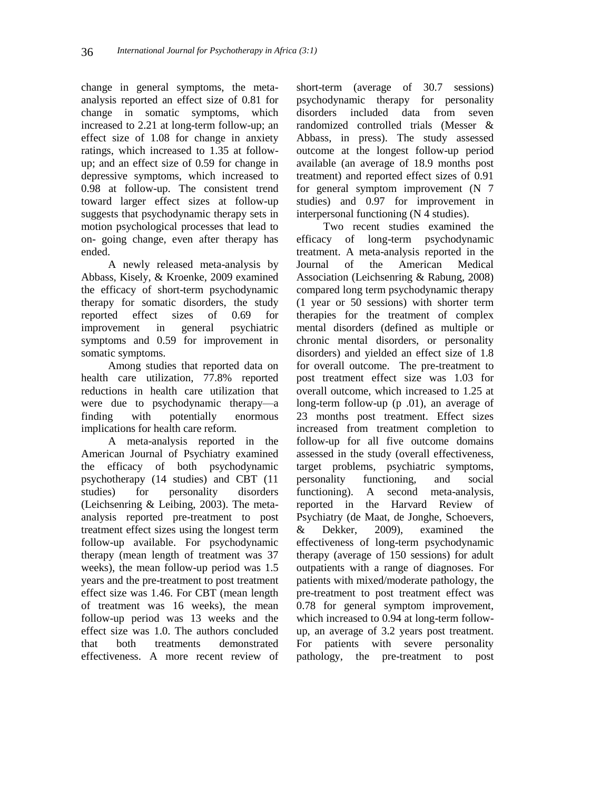change in general symptoms, the metaanalysis reported an effect size of 0.81 for change in somatic symptoms, which increased to 2.21 at long-term follow-up; an effect size of 1.08 for change in anxiety ratings, which increased to 1.35 at followup; and an effect size of 0.59 for change in depressive symptoms, which increased to 0.98 at follow-up. The consistent trend toward larger effect sizes at follow-up suggests that psychodynamic therapy sets in motion psychological processes that lead to on- going change, even after therapy has ended.

A newly released meta-analysis by Abbass, Kisely, & Kroenke, 2009 examined the efficacy of short-term psychodynamic therapy for somatic disorders, the study reported effect sizes of 0.69 for improvement in general psychiatric symptoms and 0.59 for improvement in somatic symptoms.

Among studies that reported data on health care utilization, 77.8% reported reductions in health care utilization that were due to psychodynamic therapy—a finding with potentially enormous implications for health care reform.

A meta-analysis reported in the American Journal of Psychiatry examined the efficacy of both psychodynamic psychotherapy (14 studies) and CBT (11 studies) for personality disorders (Leichsenring & Leibing, 2003). The metaanalysis reported pre-treatment to post treatment effect sizes using the longest term follow-up available. For psychodynamic therapy (mean length of treatment was 37 weeks), the mean follow-up period was 1.5 years and the pre-treatment to post treatment effect size was 1.46. For CBT (mean length of treatment was 16 weeks), the mean follow-up period was 13 weeks and the effect size was 1.0. The authors concluded that both treatments demonstrated effectiveness. A more recent review of

short-term (average of 30.7 sessions) psychodynamic therapy for personality disorders included data from seven randomized controlled trials (Messer & Abbass, in press). The study assessed outcome at the longest follow-up period available (an average of 18.9 months post treatment) and reported effect sizes of 0.91 for general symptom improvement (N 7 studies) and 0.97 for improvement in interpersonal functioning (N 4 studies).

Two recent studies examined the efficacy of long-term psychodynamic treatment. A meta-analysis reported in the Journal of the American Medical Association (Leichsenring & Rabung, 2008) compared long term psychodynamic therapy (1 year or 50 sessions) with shorter term therapies for the treatment of complex mental disorders (defined as multiple or chronic mental disorders, or personality disorders) and yielded an effect size of 1.8 for overall outcome. The pre-treatment to post treatment effect size was 1.03 for overall outcome, which increased to 1.25 at long-term follow-up (p .01), an average of 23 months post treatment. Effect sizes increased from treatment completion to follow-up for all five outcome domains assessed in the study (overall effectiveness, target problems, psychiatric symptoms, personality functioning, and social functioning). A second meta-analysis, reported in the Harvard Review of Psychiatry (de Maat, de Jonghe, Schoevers, & Dekker, 2009), examined the effectiveness of long-term psychodynamic therapy (average of 150 sessions) for adult outpatients with a range of diagnoses. For patients with mixed/moderate pathology, the pre-treatment to post treatment effect was 0.78 for general symptom improvement, which increased to 0.94 at long-term followup, an average of 3.2 years post treatment. For patients with severe personality pathology, the pre-treatment to post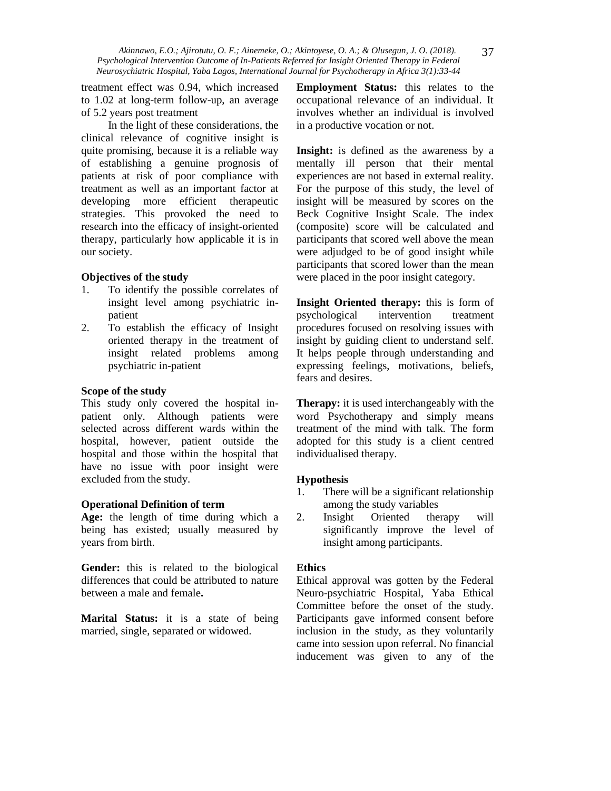treatment effect was 0.94, which increased to 1.02 at long-term follow-up, an average of 5.2 years post treatment

In the light of these considerations, the clinical relevance of cognitive insight is quite promising, because it is a reliable way of establishing a genuine prognosis of patients at risk of poor compliance with treatment as well as an important factor at developing more efficient therapeutic strategies. This provoked the need to research into the efficacy of insight-oriented therapy, particularly how applicable it is in our society.

## **Objectives of the study**

- 1. To identify the possible correlates of insight level among psychiatric inpatient
- 2. To establish the efficacy of Insight oriented therapy in the treatment of insight related problems among psychiatric in-patient

## **Scope of the study**

This study only covered the hospital inpatient only. Although patients were selected across different wards within the hospital, however, patient outside the hospital and those within the hospital that have no issue with poor insight were excluded from the study.

## **Operational Definition of term**

**Age:** the length of time during which a being has existed; usually measured by years from birth.

**Gender:** this is related to the biological differences that could be attributed to nature between a male and female**.**

**Marital Status:** it is a state of being married, single, separated or widowed.

**Employment Status:** this relates to the occupational relevance of an individual. It involves whether an individual is involved in a productive vocation or not.

**Insight:** is defined as the awareness by a mentally ill person that their mental experiences are not based in external reality. For the purpose of this study, the level of insight will be measured by scores on the Beck Cognitive Insight Scale. The index (composite) score will be calculated and participants that scored well above the mean were adjudged to be of good insight while participants that scored lower than the mean were placed in the poor insight category.

**Insight Oriented therapy:** this is form of psychological intervention treatment procedures focused on resolving issues with insight by guiding client to understand self. It helps people through understanding and expressing feelings, motivations, beliefs, fears and desires.

**Therapy:** it is used interchangeably with the word Psychotherapy and simply means treatment of the mind with talk. The form adopted for this study is a client centred individualised therapy.

## **Hypothesis**

- 1. There will be a significant relationship among the study variables
- 2. Insight Oriented therapy will significantly improve the level of insight among participants.

#### **Ethics**

Ethical approval was gotten by the Federal Neuro-psychiatric Hospital, Yaba Ethical Committee before the onset of the study. Participants gave informed consent before inclusion in the study, as they voluntarily came into session upon referral. No financial inducement was given to any of the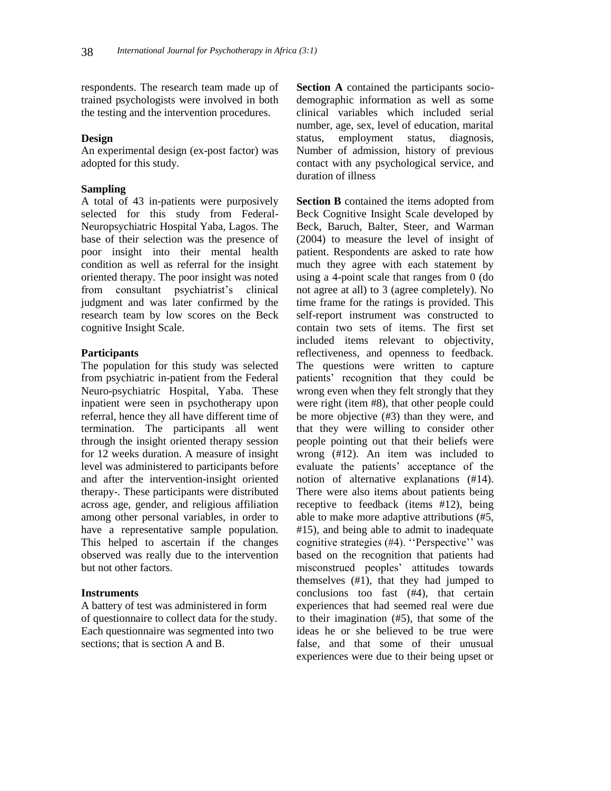respondents. The research team made up of trained psychologists were involved in both the testing and the intervention procedures.

#### **Design**

An experimental design (ex-post factor) was adopted for this study.

#### **Sampling**

A total of 43 in-patients were purposively selected for this study from Federal-Neuropsychiatric Hospital Yaba, Lagos. The base of their selection was the presence of poor insight into their mental health condition as well as referral for the insight oriented therapy. The poor insight was noted from consultant psychiatrist's clinical judgment and was later confirmed by the research team by low scores on the Beck cognitive Insight Scale.

#### **Participants**

The population for this study was selected from psychiatric in-patient from the Federal Neuro-psychiatric Hospital, Yaba. These inpatient were seen in psychotherapy upon referral, hence they all have different time of termination. The participants all went through the insight oriented therapy session for 12 weeks duration. A measure of insight level was administered to participants before and after the intervention-insight oriented therapy-. These participants were distributed across age, gender, and religious affiliation among other personal variables, in order to have a representative sample population. This helped to ascertain if the changes observed was really due to the intervention but not other factors.

### **Instruments**

A battery of test was administered in form of questionnaire to collect data for the study. Each questionnaire was segmented into two sections; that is section A and B.

**Section A** contained the participants sociodemographic information as well as some clinical variables which included serial number, age, sex, level of education, marital status, employment status, diagnosis, Number of admission, history of previous contact with any psychological service, and duration of illness

**Section B** contained the items adopted from Beck Cognitive Insight Scale developed by Beck, Baruch, Balter, Steer, and Warman (2004) to measure the level of insight of patient. Respondents are asked to rate how much they agree with each statement by using a 4-point scale that ranges from 0 (do not agree at all) to 3 (agree completely). No time frame for the ratings is provided. This self-report instrument was constructed to contain two sets of items. The first set included items relevant to objectivity, reflectiveness, and openness to feedback. The questions were written to capture patients' recognition that they could be wrong even when they felt strongly that they were right (item #8), that other people could be more objective (#3) than they were, and that they were willing to consider other people pointing out that their beliefs were wrong (#12). An item was included to evaluate the patients' acceptance of the notion of alternative explanations (#14). There were also items about patients being receptive to feedback (items #12), being able to make more adaptive attributions (#5, #15), and being able to admit to inadequate cognitive strategies (#4). ''Perspective'' was based on the recognition that patients had misconstrued peoples' attitudes towards themselves (#1), that they had jumped to conclusions too fast (#4), that certain experiences that had seemed real were due to their imagination (#5), that some of the ideas he or she believed to be true were false, and that some of their unusual experiences were due to their being upset or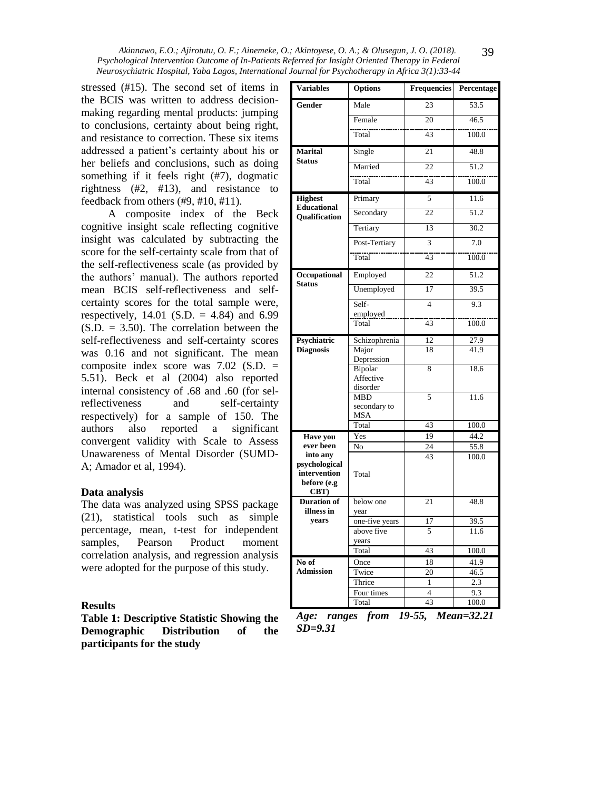stressed (#15). The second set of items in the BCIS was written to address decisionmaking regarding mental products: jumping to conclusions, certainty about being right, and resistance to correction. These six items addressed a patient's certainty about his or her beliefs and conclusions, such as doing something if it feels right (#7), dogmatic rightness (#2, #13), and resistance to feedback from others (#9, #10, #11).

A composite index of the Beck cognitive insight scale reflecting cognitive insight was calculated by subtracting the score for the self-certainty scale from that of the self-reflectiveness scale (as provided by the authors' manual). The authors reported mean BCIS self-reflectiveness and selfcertainty scores for the total sample were, respectively,  $14.01$  (S.D. = 4.84) and 6.99  $(S.D. = 3.50)$ . The correlation between the self-reflectiveness and self-certainty scores was 0.16 and not significant. The mean composite index score was 7.02 (S.D. = 5.51). Beck et al (2004) also reported internal consistency of .68 and .60 (for selreflectiveness and self-certainty respectively) for a sample of 150. The authors also reported a significant convergent validity with Scale to Assess Unawareness of Mental Disorder (SUMD-A; Amador et al, 1994).

#### **Data analysis**

The data was analyzed using SPSS package (21), statistical tools such as simple percentage, mean, t-test for independent samples, Pearson Product moment correlation analysis, and regression analysis were adopted for the purpose of this study.

#### **Results**

**Table 1: Descriptive Statistic Showing the Demographic Distribution of the participants for the study**

| <b>Variables</b>                                                 | Options                                       | <b>Frequencies</b> | Percentage |  |  |
|------------------------------------------------------------------|-----------------------------------------------|--------------------|------------|--|--|
| Gender                                                           | Male                                          | 23                 | 53.5       |  |  |
|                                                                  | Female                                        | 20                 | 46.5       |  |  |
|                                                                  | Total                                         | 43                 | 100.0      |  |  |
| Marital                                                          | Single                                        | 21                 | 48.8       |  |  |
| <b>Status</b>                                                    | Married                                       | 22                 | 51.2       |  |  |
|                                                                  | Total                                         | $\overline{43}$    | 100.0      |  |  |
| <b>Highest</b>                                                   | Primary                                       | 5                  | 11.6       |  |  |
| <b>Educational</b><br><b>Oualification</b>                       | Secondary                                     | $\overline{22}$    | 51.2       |  |  |
|                                                                  | Tertiary                                      | 13                 | 30.2       |  |  |
|                                                                  | Post-Tertiary                                 | 3                  | 7.0        |  |  |
|                                                                  | Total                                         | 43                 | 100.0      |  |  |
| Occupational                                                     | Employed                                      | 22                 | 51.2       |  |  |
| <b>Status</b>                                                    | Unemployed                                    | $\overline{17}$    | 39.5       |  |  |
|                                                                  | Self-                                         | $\overline{4}$     | 9.3        |  |  |
|                                                                  | employed<br>Total                             | 43                 | 100.0      |  |  |
| Psychiatric                                                      | Schizophrenia                                 | 12                 | 27.9       |  |  |
| <b>Diagnosis</b>                                                 | Major                                         | 18                 | 41.9       |  |  |
|                                                                  | Depression<br>Bipolar<br>Affective            | 8                  | 18.6       |  |  |
|                                                                  | disorder<br><b>MBD</b><br>secondary to<br>MSA | 5                  | 11.6       |  |  |
|                                                                  | Total                                         | 43                 | 100.0      |  |  |
| <b>Have you</b>                                                  | Yes                                           | 19                 | 44.2       |  |  |
| ever been                                                        | No                                            | 24                 | 55.8       |  |  |
| into any<br>psychological<br>intervention<br>before (e.g<br>CBT) | Total                                         | 43                 | 100.0      |  |  |
| <b>Duration of</b><br>illness in                                 | below one                                     | 21                 | 48.8       |  |  |
| years                                                            | year<br>one-five years                        | 17                 | 39.5       |  |  |
|                                                                  | above five                                    | 5                  | 11.6       |  |  |
|                                                                  | years                                         |                    |            |  |  |
|                                                                  | Total                                         | 43                 | 100.0      |  |  |
| No of                                                            | Once                                          | 18                 | 41.9       |  |  |
| <b>Admission</b>                                                 | Twice                                         | 20                 | 46.5       |  |  |
|                                                                  | Thrice                                        | $\mathbf{1}$       | 2.3        |  |  |
|                                                                  | Four times                                    | $\overline{4}$     | 9.3        |  |  |
|                                                                  | Total                                         | 43                 | 100.0      |  |  |

39

*Age: ranges from 19-55, Mean=32.21 SD=9.31*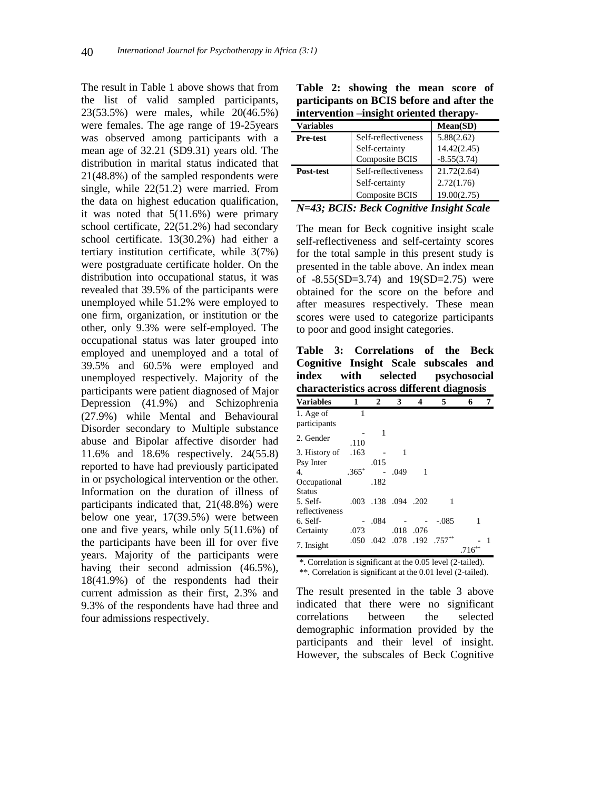The result in Table 1 above shows that from the list of valid sampled participants, 23(53.5%) were males, while 20(46.5%) were females. The age range of 19-25years was observed among participants with a mean age of 32.21 (SD9.31) years old. The distribution in marital status indicated that 21(48.8%) of the sampled respondents were single, while 22(51.2) were married. From the data on highest education qualification, it was noted that 5(11.6%) were primary school certificate, 22(51.2%) had secondary school certificate. 13(30.2%) had either a tertiary institution certificate, while 3(7%) were postgraduate certificate holder. On the distribution into occupational status, it was revealed that 39.5% of the participants were unemployed while 51.2% were employed to one firm, organization, or institution or the other, only 9.3% were self-employed. The occupational status was later grouped into employed and unemployed and a total of 39.5% and 60.5% were employed and unemployed respectively. Majority of the participants were patient diagnosed of Major Depression (41.9%) and Schizophrenia (27.9%) while Mental and Behavioural Disorder secondary to Multiple substance abuse and Bipolar affective disorder had 11.6% and 18.6% respectively. 24(55.8) reported to have had previously participated in or psychological intervention or the other. Information on the duration of illness of participants indicated that, 21(48.8%) were below one year, 17(39.5%) were between one and five years, while only 5(11.6%) of the participants have been ill for over five years. Majority of the participants were having their second admission  $(46.5\%)$ , 18(41.9%) of the respondents had their current admission as their first, 2.3% and 9.3% of the respondents have had three and four admissions respectively.

| <b>Table 2: Showing the mean score of</b><br>participants on BCIS before and after the<br>intervention --insight oriented therapy- |                     |               |  |  |  |  |
|------------------------------------------------------------------------------------------------------------------------------------|---------------------|---------------|--|--|--|--|
| <b>Variables</b>                                                                                                                   |                     | Mean(SD)      |  |  |  |  |
| <b>Pre-test</b>                                                                                                                    | Self-reflectiveness | 5.88(2.62)    |  |  |  |  |
|                                                                                                                                    | Self-certainty      | 14.42(2.45)   |  |  |  |  |
|                                                                                                                                    | Composite BCIS      | $-8.55(3.74)$ |  |  |  |  |

Table 2: showing the mean seeme

| N=43; BCIS: Beck Cognitive Insight Scale |             |
|------------------------------------------|-------------|
| Composite BCIS                           | 19.00(2.75) |

Self-certainty 2.72(1.76)

**Post-test** Self-reflectiveness 21.72(2.64)

The mean for Beck cognitive insight scale self-reflectiveness and self-certainty scores for the total sample in this present study is presented in the table above. An index mean of -8.55(SD=3.74) and 19(SD=2.75) were obtained for the score on the before and after measures respectively. These mean scores were used to categorize participants to poor and good insight categories.

**Table 3: Correlations of the Beck Cognitive Insight Scale subscales and index with selected psychosocial characteristics across different diagnosis** 

| <b>Variables</b> | 1       | 2                   | 3    | 4    | 5                          | 6    | 7 |
|------------------|---------|---------------------|------|------|----------------------------|------|---|
| 1. Age of        | 1       |                     |      |      |                            |      |   |
| participants     |         |                     |      |      |                            |      |   |
| 2. Gender        |         | 1                   |      |      |                            |      |   |
|                  | .110    |                     |      |      |                            |      |   |
| 3. History of    | .163    |                     | 1    |      |                            |      |   |
| Psy Inter        |         | .015                |      |      |                            |      |   |
| 4.               | $.365*$ |                     | .049 | 1    |                            |      |   |
| Occupational     |         | .182                |      |      |                            |      |   |
| Status           |         |                     |      |      |                            |      |   |
| 5. Self-         |         | .003 .138 .094 .202 |      |      | 1                          |      |   |
| reflectiveness   |         |                     |      |      |                            |      |   |
| 6. Self-         |         | .084                |      |      | $-.085$                    | 1    |   |
| Certainty        | .073    |                     | .018 | .076 |                            |      |   |
|                  |         |                     |      |      | .050 .042 .078 .192 .757** |      |   |
| 7. Insight       |         |                     |      |      |                            | .716 |   |

\*. Correlation is significant at the 0.05 level (2-tailed). \*\*. Correlation is significant at the 0.01 level (2-tailed).

The result presented in the table 3 above indicated that there were no significant correlations between the selected demographic information provided by the participants and their level of insight. However, the subscales of Beck Cognitive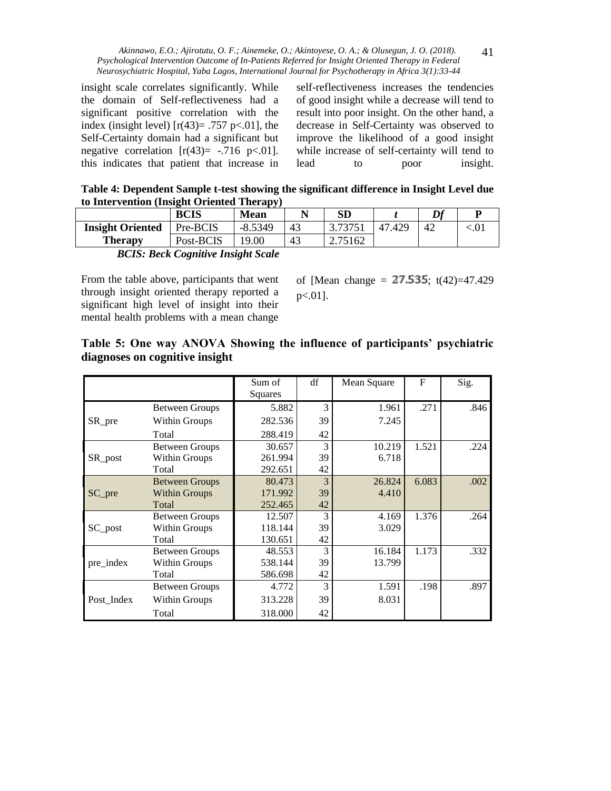insight scale correlates significantly. While the domain of Self-reflectiveness had a significant positive correlation with the index (insight level)  $[r(43)= .757 \text{ p} < .01]$ , the Self-Certainty domain had a significant but negative correlation  $[r(43) = -.716 \text{ p} < .01]$ . this indicates that patient that increase in self-reflectiveness increases the tendencies of good insight while a decrease will tend to result into poor insight. On the other hand, a decrease in Self-Certainty was observed to improve the likelihood of a good insight while increase of self-certainty will tend to lead to poor insight.

41

**Table 4: Dependent Sample t-test showing the significant difference in Insight Level due to Intervention (Insight Oriented Therapy)**

|                                                   |             | .           |    |         |        |    |         |  |
|---------------------------------------------------|-------------|-------------|----|---------|--------|----|---------|--|
|                                                   | <b>BCIS</b> | <b>Mean</b> | N  | SD      |        | Df |         |  |
| <b>Insight Oriented</b>                           | Pre-BCIS    | $-8.5349$   | 43 | 3.73751 | 47.429 | 42 | ${.01}$ |  |
| <b>Therapy</b>                                    | Post-BCIS   | .9.00       | 43 | 2.75162 |        |    |         |  |
| .<br>_____<br>__<br>.<br>$\overline{\phantom{a}}$ |             |             |    |         |        |    |         |  |

*BCIS: Beck Cognitive Insight Scale*

From the table above, participants that went through insight oriented therapy reported a significant high level of insight into their mental health problems with a mean change

of [Mean change =  $27.535$ ; t(42)=47.429 p<.01].

# **Table 5: One way ANOVA Showing the influence of participants' psychiatric diagnoses on cognitive insight**

|            |                       | Sum of<br>Squares | df | Mean Square | $\mathbf F$ | Sig. |
|------------|-----------------------|-------------------|----|-------------|-------------|------|
|            | <b>Between Groups</b> | 5.882             | 3  | 1.961       | .271        | .846 |
| SR_pre     | Within Groups         | 282.536           | 39 | 7.245       |             |      |
|            | Total                 | 288.419           | 42 |             |             |      |
|            | <b>Between Groups</b> | 30.657            | 3  | 10.219      | 1.521       | .224 |
| SR_post    | Within Groups         | 261.994           | 39 | 6.718       |             |      |
|            | Total                 | 292.651           | 42 |             |             |      |
|            | <b>Between Groups</b> | 80.473            | 3  | 26.824      | 6.083       | .002 |
| SC_pre     | <b>Within Groups</b>  | 171.992           | 39 | 4.410       |             |      |
|            | Total                 | 252.465           | 42 |             |             |      |
|            | <b>Between Groups</b> | 12.507            | 3  | 4.169       | 1.376       | .264 |
| SC_post    | Within Groups         | 118.144           | 39 | 3.029       |             |      |
|            | Total                 | 130.651           | 42 |             |             |      |
|            | <b>Between Groups</b> | 48.553            | 3  | 16.184      | 1.173       | .332 |
| pre_index  | Within Groups         | 538.144           | 39 | 13.799      |             |      |
|            | Total                 | 586.698           | 42 |             |             |      |
|            | <b>Between Groups</b> | 4.772             | 3  | 1.591       | .198        | .897 |
| Post Index | Within Groups         | 313.228           | 39 | 8.031       |             |      |
|            | Total                 | 318.000           | 42 |             |             |      |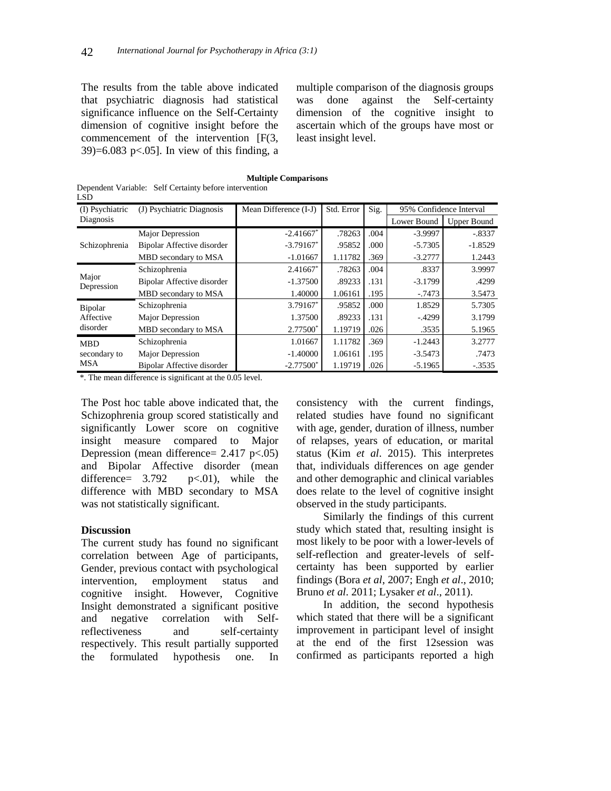The results from the table above indicated that psychiatric diagnosis had statistical significance influence on the Self-Certainty dimension of cognitive insight before the commencement of the intervention [F(3,  $39$ =6.083 p<.05]. In view of this finding, a multiple comparison of the diagnosis groups was done against the Self-certainty dimension of the cognitive insight to ascertain which of the groups have most or least insight level.

|     | <b>Multiple Comparisons</b>                            |
|-----|--------------------------------------------------------|
|     | Dependent Variable: Self Certainty before intervention |
| LSD |                                                        |

| (I) Psychiatric                          | (J) Psychiatric Diagnosis         | Mean Difference (I-J)   | Std. Error | Sig. | 95% Confidence Interval |                    |
|------------------------------------------|-----------------------------------|-------------------------|------------|------|-------------------------|--------------------|
| Diagnosis                                |                                   |                         |            |      | Lower Bound             | <b>Upper Bound</b> |
|                                          | Major Depression                  | $-2.41667$ <sup>*</sup> | .78263     | .004 | $-3.9997$               | $-.8337$           |
| Schizophrenia                            | Bipolar Affective disorder        | $-3.79167$ <sup>*</sup> | .95852     | .000 | $-5.7305$               | $-1.8529$          |
|                                          | MBD secondary to MSA              | $-1.01667$              | 1.11782    | .369 | $-3.2777$               | 1.2443             |
| Major<br>Depression                      | Schizophrenia                     | $2.41667*$              | .78263     | .004 | .8337                   | 3.9997             |
|                                          | <b>Bipolar Affective disorder</b> | $-1.37500$              | .89233     | .131 | $-3.1799$               | .4299              |
|                                          | MBD secondary to MSA              | 1.40000                 | 1.06161    | .195 | $-0.7473$               | 3.5473             |
| Bipolar                                  | Schizophrenia                     | $3.79167$ <sup>*</sup>  | .95852     | .000 | 1.8529                  | 5.7305             |
| Affective                                | Major Depression                  | 1.37500                 | .89233     | .131 | $-4299$                 | 3.1799             |
| disorder                                 | MBD secondary to MSA              | 2.77500*                | 1.19719    | .026 | .3535                   | 5.1965             |
| <b>MBD</b><br>secondary to<br><b>MSA</b> | Schizophrenia                     | 1.01667                 | 1.11782    | .369 | $-1.2443$               | 3.2777             |
|                                          | Major Depression                  | $-1.40000$              | 1.06161    | .195 | $-3.5473$               | .7473              |
|                                          | Bipolar Affective disorder        | $-2.77500*$             | 1.19719    | .026 | $-5.1965$               | $-.3535$           |

\*. The mean difference is significant at the 0.05 level.

The Post hoc table above indicated that, the Schizophrenia group scored statistically and significantly Lower score on cognitive insight measure compared to Major Depression (mean difference=  $2.417 \text{ p} < .05$ ) and Bipolar Affective disorder (mean difference=  $3.792$  p<.01), while the difference with MBD secondary to MSA was not statistically significant.

#### **Discussion**

The current study has found no significant correlation between Age of participants, Gender, previous contact with psychological intervention, employment status and cognitive insight. However, Cognitive Insight demonstrated a significant positive and negative correlation with Selfreflectiveness and self-certainty respectively. This result partially supported the formulated hypothesis one. In consistency with the current findings, related studies have found no significant with age, gender, duration of illness, number of relapses, years of education, or marital status (Kim *et al*. 2015). This interpretes that, individuals differences on age gender and other demographic and clinical variables does relate to the level of cognitive insight observed in the study participants.

Similarly the findings of this current study which stated that, resulting insight is most likely to be poor with a lower-levels of self-reflection and greater-levels of selfcertainty has been supported by earlier findings (Bora *et al*, 2007; Engh *et al*., 2010; Bruno *et al*. 2011; Lysaker *et al*., 2011).

In addition, the second hypothesis which stated that there will be a significant improvement in participant level of insight at the end of the first 12session was confirmed as participants reported a high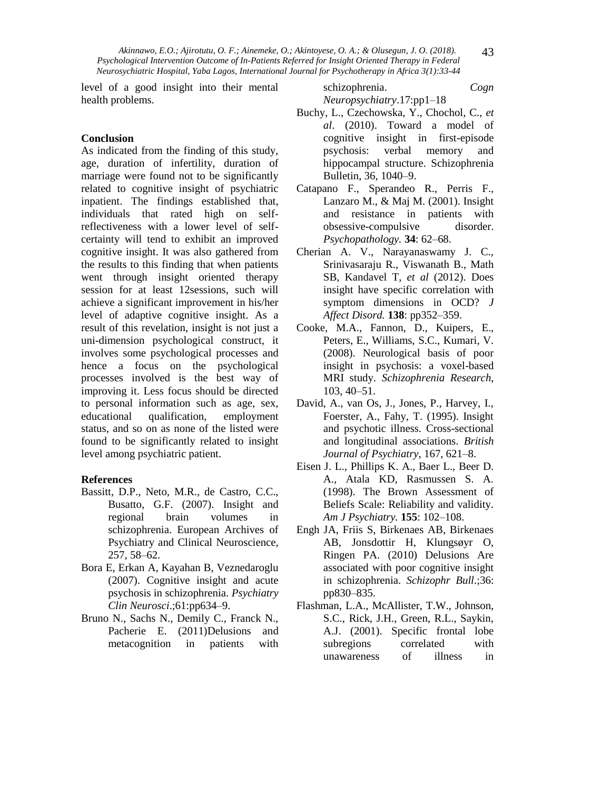level of a good insight into their mental health problems.

schizophrenia. *Cogn Neuropsychiatry*.17:pp1–18

# **Conclusion**

As indicated from the finding of this study, age, duration of infertility, duration of marriage were found not to be significantly related to cognitive insight of psychiatric inpatient. The findings established that, individuals that rated high on selfreflectiveness with a lower level of selfcertainty will tend to exhibit an improved cognitive insight. It was also gathered from the results to this finding that when patients went through insight oriented therapy session for at least 12sessions, such will achieve a significant improvement in his/her level of adaptive cognitive insight. As a result of this revelation, insight is not just a uni-dimension psychological construct, it involves some psychological processes and hence a focus on the psychological processes involved is the best way of improving it. Less focus should be directed to personal information such as age, sex, educational qualification, employment status, and so on as none of the listed were found to be significantly related to insight level among psychiatric patient.

#### **References**

- Bassitt, D.P., Neto, M.R., de Castro, C.C., Busatto, G.F. (2007). Insight and regional brain volumes in schizophrenia. European Archives of Psychiatry and Clinical Neuroscience, 257, 58–62.
- Bora E, Erkan A, Kayahan B, Veznedaroglu (2007). Cognitive insight and acute psychosis in schizophrenia. *Psychiatry Clin Neurosci*.;61:pp634–9.
- Bruno N., Sachs N., Demily C., Franck N., Pacherie E. (2011)Delusions and metacognition in patients with
- Buchy, L., Czechowska, Y., Chochol, C., *et al*. (2010). Toward a model of cognitive insight in first-episode psychosis: verbal memory and hippocampal structure. Schizophrenia Bulletin, 36, 1040–9.
- Catapano F., Sperandeo R., Perris F., Lanzaro M., & Maj M. (2001). Insight and resistance in patients with obsessive-compulsive disorder. *Psychopathology.* **34**: 62–68.
- Cherian A. V., Narayanaswamy J. C., Srinivasaraju R., Viswanath B., Math SB, Kandavel T, *et al* (2012). Does insight have specific correlation with symptom dimensions in OCD? *J Affect Disord.* **138**: pp352–359.
- Cooke, M.A., Fannon, D., Kuipers, E., Peters, E., Williams, S.C., Kumari, V. (2008). Neurological basis of poor insight in psychosis: a voxel-based MRI study. *Schizophrenia Research*, 103, 40–51.
- David, A., van Os, J., Jones, P., Harvey, I., Foerster, A., Fahy, T. (1995). Insight and psychotic illness. Cross-sectional and longitudinal associations. *British Journal of Psychiatry*, 167, 621–8.
- Eisen J. L., Phillips K. A., Baer L., Beer D. A., Atala KD, Rasmussen S. A. (1998). The Brown Assessment of Beliefs Scale: Reliability and validity. *Am J Psychiatry.* **155**: 102–108.
- Engh JA, Friis S, Birkenaes AB, Birkenaes AB, Jonsdottir H, Klungsøyr O, Ringen PA. (2010) Delusions Are associated with poor cognitive insight in schizophrenia. *Schizophr Bull*.;36: pp830–835.
- Flashman, L.A., McAllister, T.W., Johnson, S.C., Rick, J.H., Green, R.L., Saykin, A.J. (2001). Specific frontal lobe subregions correlated with unawareness of illness in

43